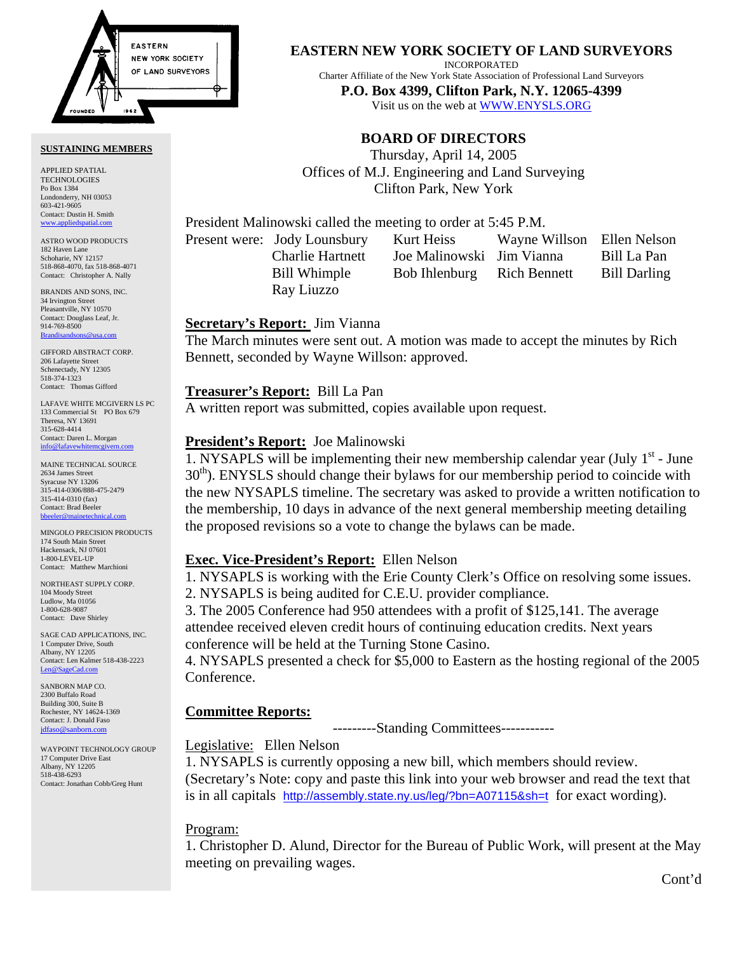

#### **SUSTAINING MEMBERS**

APPLIED SPATIAL TECHNOLOGIES Po Box 1384 Londonderry, NH 03053 603-421-9605 Contact: Dustin H. Smith <www.appliedspatial.com>

ASTRO WOOD PRODUCTS 182 Haven Lane Schoharie, NY 12157 518-868-4070, fax 518-868-4071 Contact: Christopher A. Nally

BRANDIS AND SONS, INC. 34 Irvington Street Pleasantville, NY 10570 Contact: Douglass Leaf, Jr. 914-769-8500 **Brandisar** 

GIFFORD ABSTRACT CORP. 206 Lafayette Street Schenectady, NY 12305 518-374-1323 Contact: Thomas Gifford

LAFAVE WHITE MCGIVERN LS PC 133 Commercial St PO Box 679 Theresa, NY 13691 315-628-4414 Contact: Daren L. Morgan [info@lafavewhitemcgivern.com](mailto:info@lafavewhitemcgivern.com)

MAINE TECHNICAL SOURCE 2634 James Street Syracuse NY 13206 315-414-0306/888-475-2479 315-414-0310 (fax) Contact: Brad Beeler [bbeeler@mainetechnical.com](mailto:bbeeler@mainetechnical.com)

MINGOLO PRECISION PRODUCTS 174 South Main Street Hackensack, NJ 07601 1-800-LEVEL-UP Contact: Matthew Marchioni

NORTHEAST SUPPLY CORP. 104 Moody Street Ludlow, Ma 01056 1-800-628-9087 Contact: Dave Shirley

SAGE CAD APPLICATIONS, INC. 1 Computer Drive, South Albany, NY 12205 Contact: Len Kalmer 518-438-2223 [Len@SageCad.com](mailto:len@sagecad.com)

SANBORN MAP CO. 2300 Buffalo Road Building 300, Suite B Rochester, NY 14624-1369 Contact: J. Donald Faso [jdfaso@sanborn.com](mailto:jdfaso@sanborn.com)

WAYPOINT TECHNOLOGY GROUP 17 Computer Drive East Albany, NY 12205 518-438-6293 Contact: Jonathan Cobb/Greg Hunt

## **EASTERN NEW YORK SOCIETY OF LAND SURVEYORS**

INCORPORATED

Charter Affiliate of the New York State Association of Professional Land Surveyors **P.O. Box 4399, Clifton Park, N.Y. 12065-4399** 

Visit us on the web a[t WWW.ENYSLS.ORG](www.enysls.org)

## **BOARD OF DIRECTORS**

Thursday, April 14, 2005 Offices of M.J. Engineering and Land Surveying Clifton Park, New York

President Malinowski called the meeting to order at 5:45 P.M.

Ray Liuzzo

Present were: Jody Lounsbury Kurt Heiss Wayne Willson Ellen Nelson Charlie Hartnett Joe Malinowski Jim Vianna Bill La Pan Bill Whimple Bob Ihlenburg Rich Bennett Bill Darling

## **Secretary's Report:** Jim Vianna

The March minutes were sent out. A motion was made to accept the minutes by Rich Bennett, seconded by Wayne Willson: approved.

## **Treasurer's Report:** Bill La Pan

A written report was submitted, copies available upon request.

## **President's Report:** Joe Malinowski

1. NYSAPLS will be implementing their new membership calendar year (July  $1<sup>st</sup>$  - June 30<sup>th</sup>). ENYSLS should change their bylaws for our membership period to coincide with the new NYSAPLS timeline. The secretary was asked to provide a written notification to the membership, 10 days in advance of the next general membership meeting detailing the proposed revisions so a vote to change the bylaws can be made.

## **Exec. Vice-President's Report:** Ellen Nelson

1. NYSAPLS is working with the Erie County Clerk's Office on resolving some issues. 2. NYSAPLS is being audited for C.E.U. provider compliance.

3. The 2005 Conference had 950 attendees with a profit of \$125,141. The average attendee received eleven credit hours of continuing education credits. Next years conference will be held at the Turning Stone Casino.

4. NYSAPLS presented a check for \$5,000 to Eastern as the hosting regional of the 2005 Conference.

## **Committee Reports:**

---------Standing Committees-----------

## Legislative: Ellen Nelson

1. NYSAPLS is currently opposing a new bill, which members should review. (Secretary's Note: copy and paste this link into your web browser and read the text that is in all capitals [http://assembly.state.ny.us/leg/?bn=A07115&sh=t](http://assembly.state.ny.us/leg/?bn=a07115&sh=t) for exact wording).

# Program:

1. Christopher D. Alund, Director for the Bureau of Public Work, will present at the May meeting on prevailing wages.